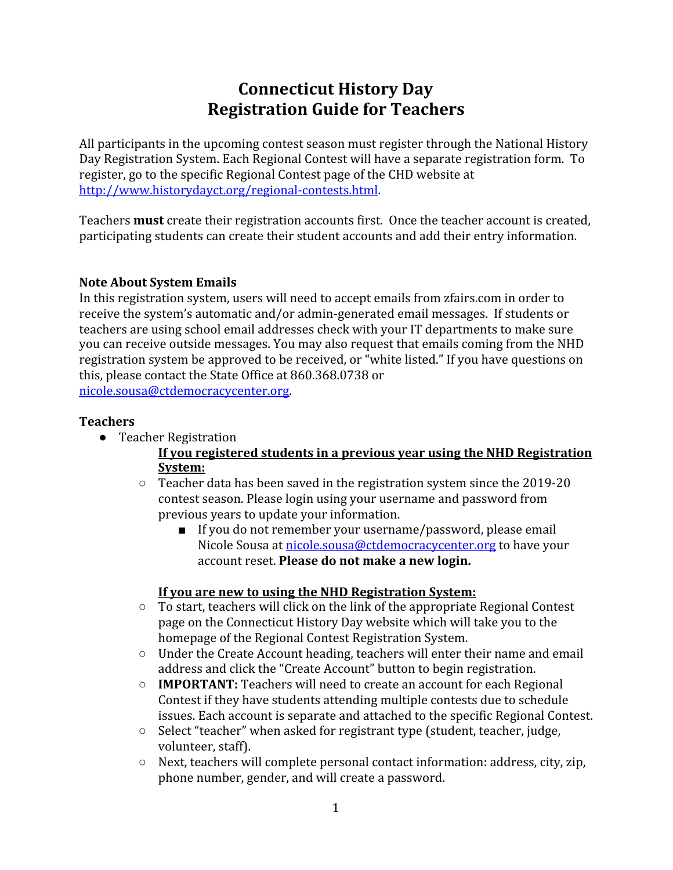# **Connecticut History Day Registration Guide for Teachers**

All participants in the upcoming contest season must register through the National History Day Registration System. Each Regional Contest will have a separate registration form. To register, go to the specific Regional Contest page of the CHD website at <http://www.historydayct.org/regional-contests.html>.

Teachers **must** create their registration accounts first. Once the teacher account is created, participating students can create their student accounts and add their entry information.

# **Note About System Emails**

In this registration system, users will need to accept emails from zfairs.com in order to receive the system's automatic and/or admin-generated email messages. If students or teachers are using school email addresses check with your IT departments to make sure you can receive outside messages. You may also request that emails coming from the NHD registration system be approved to be received, or "white listed." If you have questions on this, please contact the State Office at 860.368.0738 or

[nicole.sousa@ctdemocracycenter.org](mailto:nicole.sousa@ctdemocracycenter.org).

# **Teachers**

● Teacher Registration

# **If you registered students in a previous year using the NHD Registration System:**

- Teacher data has been saved in the registration system since the 2019-20 contest season. Please login using your username and password from previous years to update your information.
	- If you do not remember your username/password, please email Nicole Sousa at [nicole.sousa@ctdemocracycenter.org](mailto:nicole.sousa@ctdemocracycenter.org) to have your account reset. **Please do not make a new login.**

# **If you are new to using the NHD Registration System:**

- To start, teachers will click on the link of the appropriate Regional Contest page on the Connecticut History Day website which will take you to the homepage of the Regional Contest Registration System.
- Under the Create Account heading, teachers will enter their name and email address and click the "Create Account" button to begin registration.
- **IMPORTANT:** Teachers will need to create an account for each Regional Contest if they have students attending multiple contests due to schedule issues. Each account is separate and attached to the specific Regional Contest.
- Select "teacher" when asked for registrant type (student, teacher, judge, volunteer, staff).
- Next, teachers will complete personal contact information: address, city, zip, phone number, gender, and will create a password.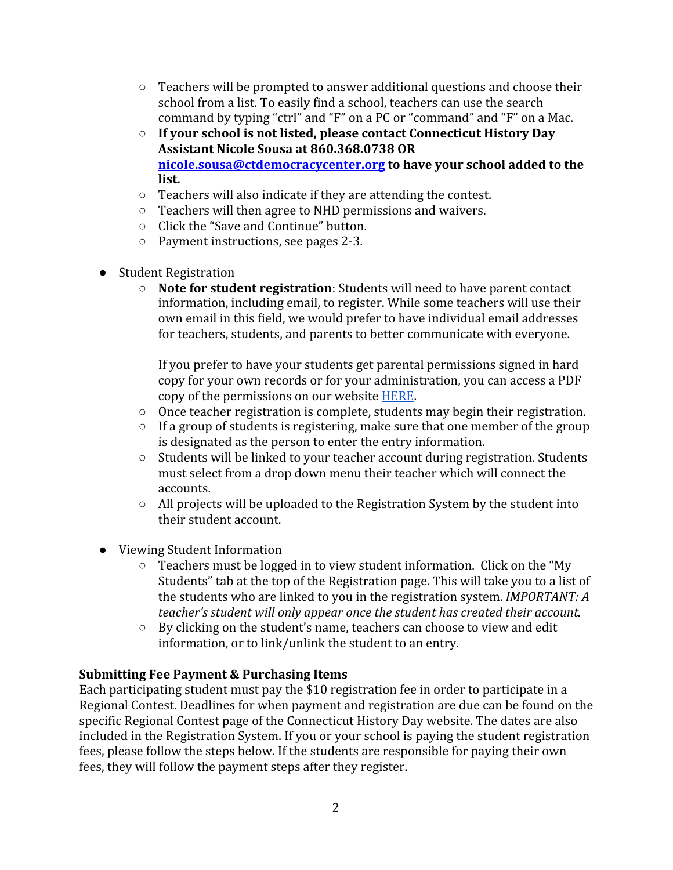- $\circ$  Teachers will be prompted to answer additional questions and choose their school from a list. To easily find a school, teachers can use the search command by typing "ctrl" and "F" on a PC or "command" and "F" on a Mac.
- **If your school is not listed, please contact Connecticut History Day Assistant Nicole Sousa at 860.368.0738 OR [nicole.sousa@ctdemocracycenter.org](mailto:nicole.sousa@ctdemocracycenter.org) to have your school added to the list.**
- Teachers will also indicate if they are attending the contest.
- Teachers will then agree to NHD permissions and waivers.
- Click the "Save and Continue" button.
- Payment instructions, see pages 2-3.
- Student Registration
	- **Note for student registration**: Students will need to have parent contact information, including email, to register. While some teachers will use their own email in this field, we would prefer to have individual email addresses for teachers, students, and parents to better communicate with everyone.

If you prefer to have your students get parental permissions signed in hard copy for your own records or for your administration, you can access a PDF copy of the permissions on our website [HERE](https://www.historydayct.org/uploads/2/5/6/0/25607955/chd_waivers_from_registration_system.pdf).

- Once teacher registration is complete, students may begin their registration.
- If a group of students is registering, make sure that one member of the group is designated as the person to enter the entry information.
- Students will be linked to your teacher account during registration. Students must select from a drop down menu their teacher which will connect the accounts.
- All projects will be uploaded to the Registration System by the student into their student account.
- Viewing Student Information
	- Teachers must be logged in to view student information. Click on the "My Students" tab at the top of the Registration page. This will take you to a list of the students who are linked to you in the registration system. *IMPORTANT: A teacher's student will only appear once the student has created their account.*
	- By clicking on the student's name, teachers can choose to view and edit information, or to link/unlink the student to an entry.

# **Submitting Fee Payment & Purchasing Items**

Each participating student must pay the \$10 registration fee in order to participate in a Regional Contest. Deadlines for when payment and registration are due can be found on the specific Regional Contest page of the Connecticut History Day website. The dates are also included in the Registration System. If you or your school is paying the student registration fees, please follow the steps below. If the students are responsible for paying their own fees, they will follow the payment steps after they register.